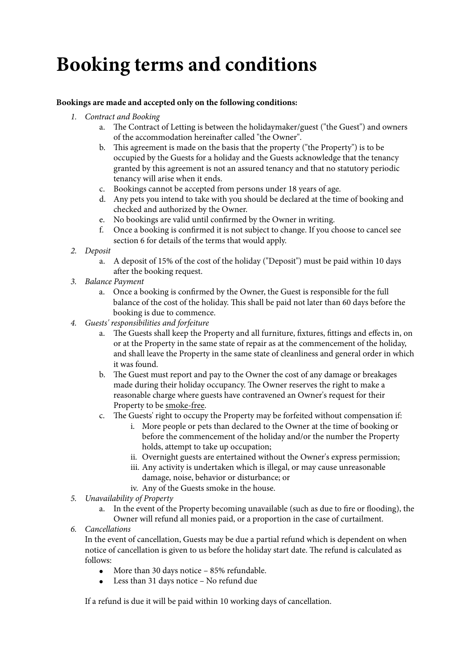## **Booking terms and conditions**

## **Bookings are made and accepted only on the following conditions:**

- *1. Contract and Booking*
	- a. The Contract of Letting is between the holidaymaker/guest ("the Guest") and owners of the accommodation hereinafter called "the Owner".
	- b. This agreement is made on the basis that the property ("the Property") is to be occupied by the Guests for a holiday and the Guests acknowledge that the tenancy granted by this agreement is not an assured tenancy and that no statutory periodic tenancy will arise when it ends.
	- c. Bookings cannot be accepted from persons under 18 years of age.
	- d. Any pets you intend to take with you should be declared at the time of booking and checked and authorized by the Owner.
	- e. No bookings are valid until confirmed by the Owner in writing.
	- f. Once a booking is confirmed it is not subject to change. If you choose to cancel see section 6 for details of the terms that would apply.
- *2. Deposit*
	- a. A deposit of 15% of the cost of the holiday ("Deposit") must be paid within 10 days after the booking request.
- *3. Balance Payment*
	- a. Once a booking is confirmed by the Owner, the Guest is responsible for the full balance of the cost of the holiday. This shall be paid not later than 60 days before the booking is due to commence.
- *4. Guests' responsibilities and forfeiture*
	- a. The Guests shall keep the Property and all furniture, fixtures, fittings and effects in, on or at the Property in the same state of repair as at the commencement of the holiday, and shall leave the Property in the same state of cleanliness and general order in which it was found.
	- b. The Guest must report and pay to the Owner the cost of any damage or breakages made during their holiday occupancy. The Owner reserves the right to make a reasonable charge where guests have contravened an Owner's request for their Property to be smoke-free.
	- c. The Guests' right to occupy the Property may be forfeited without compensation if:
		- i. More people or pets than declared to the Owner at the time of booking or before the commencement of the holiday and/or the number the Property holds, attempt to take up occupation;
		- ii. Overnight guests are entertained without the Owner's express permission;
		- iii. Any activity is undertaken which is illegal, or may cause unreasonable damage, noise, behavior or disturbance; or
		- iv. Any of the Guests smoke in the house.
- *5. Unavailability of Property*
	- a. In the event of the Property becoming unavailable (such as due to fire or flooding), the Owner will refund all monies paid, or a proportion in the case of curtailment.
- *6. Cancellations*

In the event of cancellation, Guests may be due a partial refund which is dependent on when notice of cancellation is given to us before the holiday start date. The refund is calculated as follows:

- More than 30 days notice 85% refundable.
- Less than 31 days notice No refund due

If a refund is due it will be paid within 10 working days of cancellation.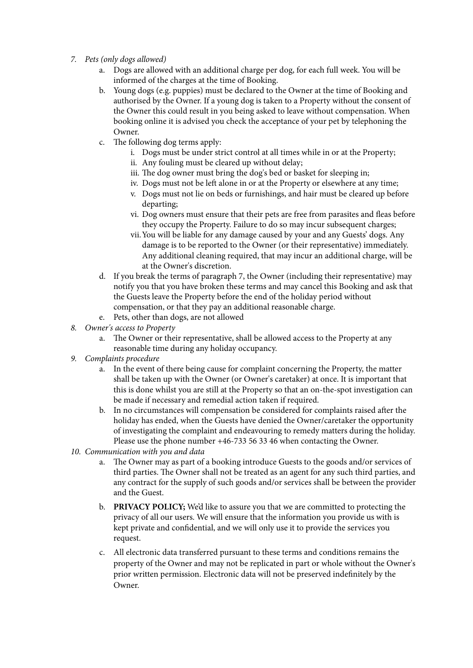- *7. Pets (only dogs allowed)*
	- a. Dogs are allowed with an additional charge per dog, for each full week. You will be informed of the charges at the time of Booking.
	- b. Young dogs (e.g. puppies) must be declared to the Owner at the time of Booking and authorised by the Owner. If a young dog is taken to a Property without the consent of the Owner this could result in you being asked to leave without compensation. When booking online it is advised you check the acceptance of your pet by telephoning the Owner.
	- c. The following dog terms apply:
		- i. Dogs must be under strict control at all times while in or at the Property;
		- ii. Any fouling must be cleared up without delay;
		- iii. The dog owner must bring the dog's bed or basket for sleeping in;
		- iv. Dogs must not be left alone in or at the Property or elsewhere at any time;
		- v. Dogs must not lie on beds or furnishings, and hair must be cleared up before departing;
		- vi. Dog owners must ensure that their pets are free from parasites and fleas before they occupy the Property. Failure to do so may incur subsequent charges;
		- vii.You will be liable for any damage caused by your and any Guests' dogs. Any damage is to be reported to the Owner (or their representative) immediately. Any additional cleaning required, that may incur an additional charge, will be at the Owner's discretion.
	- d. If you break the terms of paragraph 7, the Owner (including their representative) may notify you that you have broken these terms and may cancel this Booking and ask that the Guests leave the Property before the end of the holiday period without compensation, or that they pay an additional reasonable charge.
	- e. Pets, other than dogs, are not allowed
- *8. Owner's access to Property*
	- a. The Owner or their representative, shall be allowed access to the Property at any reasonable time during any holiday occupancy.
- *9. Complaints procedure*
	- a. In the event of there being cause for complaint concerning the Property, the matter shall be taken up with the Owner (or Owner's caretaker) at once. It is important that this is done whilst you are still at the Property so that an on-the-spot investigation can be made if necessary and remedial action taken if required.
	- b. In no circumstances will compensation be considered for complaints raised after the holiday has ended, when the Guests have denied the Owner/caretaker the opportunity of investigating the complaint and endeavouring to remedy matters during the holiday. Please use the phone number +46-733 56 33 46 when contacting the Owner.
- *10. Communication with you and data*
	- a. The Owner may as part of a booking introduce Guests to the goods and/or services of third parties. The Owner shall not be treated as an agent for any such third parties, and any contract for the supply of such goods and/or services shall be between the provider and the Guest.
	- b. **PRIVACY POLICY;** We'd like to assure you that we are committed to protecting the privacy of all our users. We will ensure that the information you provide us with is kept private and confidential, and we will only use it to provide the services you request.
	- c. All electronic data transferred pursuant to these terms and conditions remains the property of the Owner and may not be replicated in part or whole without the Owner's prior written permission. Electronic data will not be preserved indefinitely by the Owner.